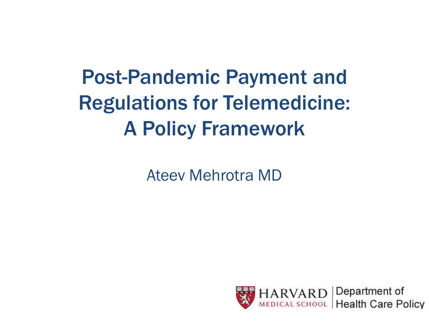### Post-Pandemic Payment and Regulations for Telemedicine: A Policy Framework

Ateev Mehrotra MD

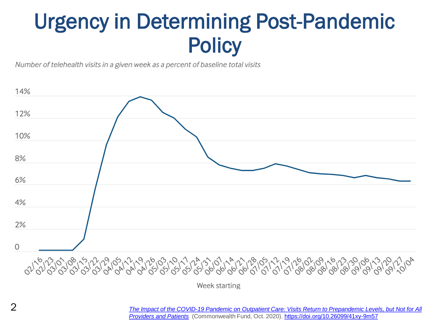### Urgency in Determining Post-Pandemic **Policy**

Number of telehealth visits in a given week as a percent of baseline total visits



*[The Impact of the COVID-19 Pandemic on Outpatient Care: Visits Return to Prepandemic](https://www.commonwealthfund.org/publications/2020/oct/impact-covid-19-pandemic-outpatient-care-visits-return-prepandemic-levels) Levels, but Not for All Providers and Patients* (Commonwealth Fund, Oct. 2020).<https://doi.org/10.26099/41xy-9m57>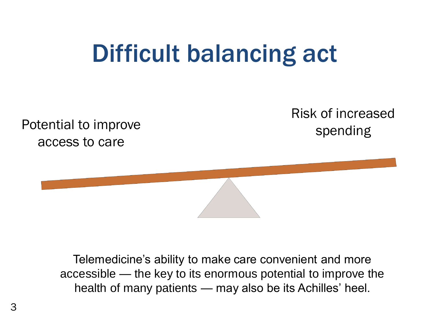# Difficult balancing act

Potential to improve access to care

Risk of increased spending

Telemedicine's ability to make care convenient and more accessible — the key to its enormous potential to improve the health of many patients — may also be its Achilles' heel.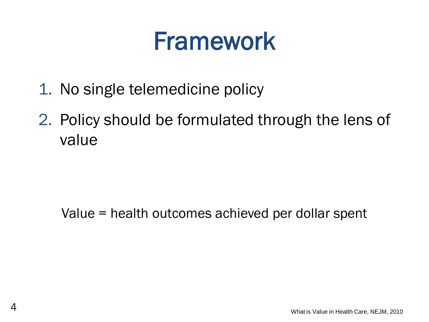# Framework

- 1. No single telemedicine policy
- 2. Policy should be formulated through the lens of value

### Value = health outcomes achieved per dollar spent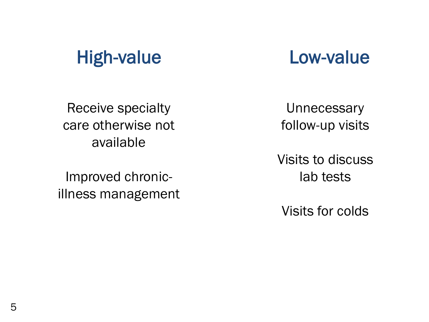### High-value Low-value

Receive specialty care otherwise not available

Improved chronicillness management

**Unnecessary** follow-up visits

Visits to discuss lab tests

Visits for colds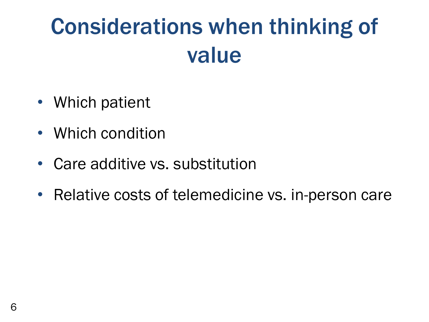# Considerations when thinking of value

- Which patient
- Which condition
- Care additive vs. substitution
- Relative costs of telemedicine vs. in-person care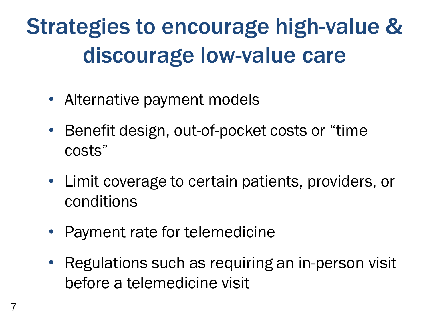# Strategies to encourage high-value & discourage low-value care

- Alternative payment models
- Benefit design, out-of-pocket costs or "time" costs"
- Limit coverage to certain patients, providers, or conditions
- Payment rate for telemedicine
- Regulations such as requiring an in-person visit before a telemedicine visit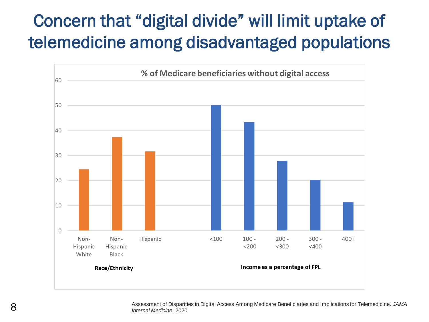### Concern that "digital divide" will limit uptake of telemedicine among disadvantaged populations



Assessment of Disparities in Digital Access Among Medicare Beneficiaries and Implications for Telemedicine. *JAMA* 8 *Internal Medicine*. 2020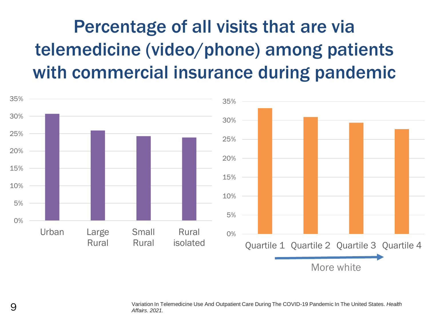### Percentage of all visits that are via telemedicine (video/phone) among patients with commercial insurance during pandemic